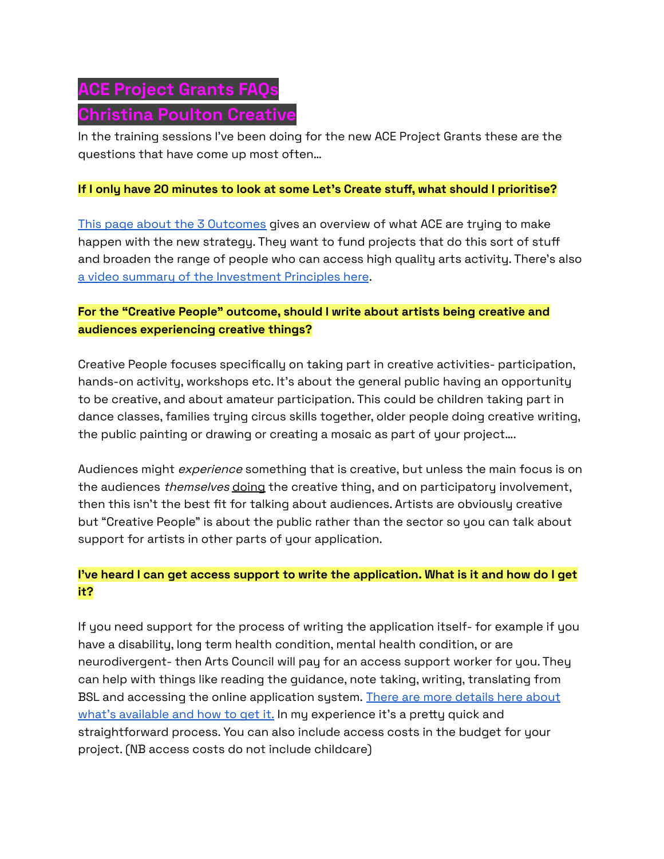# **ACE Project Grants FAQs Christina Poulton Creative**

In the training sessions I've been doing for the new ACE Project Grants these are the questions that have come up most often…

### **If I only have 20 minutes to look at some Let's Create stuff, what should I prioritise?**

This page about the 3 [Outcomes](https://www.artscouncil.org.uk/outcomes-0) gives an overview of what ACE are trying to make happen with the new strategy. They want to fund projects that do this sort of stuff and broaden the range of people who can access high quality arts activity. There's also a video summary of the [Investment](https://www.youtube.com/watch?v=EuHDoP_nsg8) Principles here.

# **For the "Creative People" outcome, should I write about artists being creative and audiences experiencing creative things?**

Creative People focuses specifically on taking part in creative activities- participation, hands-on activity, workshops etc. It's about the general public having an opportunity to be creative, and about amateur participation. This could be children taking part in dance classes, families trying circus skills together, older people doing creative writing, the public painting or drawing or creating a mosaic as part of your project….

Audiences might *experience* something that is creative, but unless the main focus is on the audiences *themselves* doing the creative thing, and on participatory involvement, then this isn't the best fit for talking about audiences. Artists are obviously creative but "Creative People" is about the public rather than the sector so you can talk about support for artists in other parts of your application.

## **I've heard I can get access support to write the application. What is it and how do I get it?**

If you need support for the process of writing the application itself- for example if you have a disability, long term health condition, mental health condition, or are neurodivergent- then Arts Council will pay for an access support worker for you. They can help with things like reading the guidance, note taking, writing, translating from BSL and accessing the online application system. There are more [details](https://www.artscouncil.org.uk/sites/default/files/download-file/NLPG_InfoSheet_Access_Support_0.pdf) here about what's [available](https://www.artscouncil.org.uk/sites/default/files/download-file/NLPG_InfoSheet_Access_Support_0.pdf) and how to get it. In my experience it's a pretty quick and straightforward process. You can also include access costs in the budget for your project. (NB access costs do not include childcare)